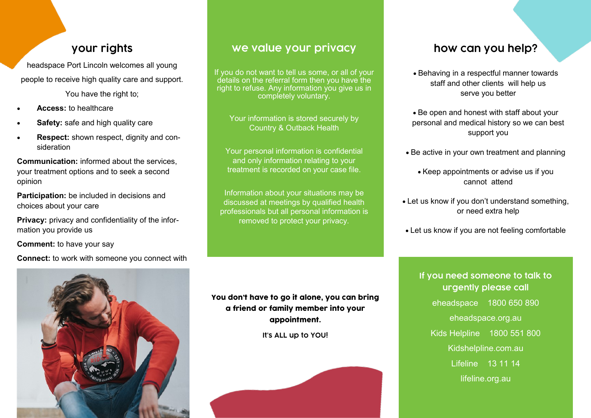## **your rights**

headspace Port Lincoln welcomes all young

people to receive high quality care and support.

You have the right to:

- **Access:** to healthcare
- **Safety:** safe and high quality care
- **Respect:** shown respect, dignity and consideration

**Communication:** informed about the services, your treatment options and to seek a second opinion

**Participation:** be included in decisions and choices about your care

**Privacy:** privacy and confidentiality of the information you provide us

**Comment:** to have your say

**Connect:** to work with someone you connect with



## **we value your privacy**

If you do not want to tell us some, or all of your details on the referral form then you have the right to refuse. Any information you give us in completely voluntary.

Your information is stored securely by Country & Outback Health

Your personal information is confidential and only information relating to your treatment is recorded on your case file.

Information about your situations may be discussed at meetings by qualified health professionals but all personal information is removed to protect your privacy.

## **how can you help?**

- Behaving in a respectful manner towards staff and other clients will help us serve you better
- Be open and honest with staff about your personal and medical history so we can best support you
- Be active in your own treatment and planning
	- Keep appointments or advise us if you cannot attend
- Let us know if you don't understand something, or need extra help
- Let us know if you are not feeling comfortable

**If you need someone to talk to urgently please call** eheadspace 1800 650 890 eheadspace.org.au Kids Helpline 1800 551 800 Kidshelpline.com.au Lifeline 13 11 14 lifeline.org.au

#### You don't have to go it alone, you can bring a friend or family member into your appointment.

**It's ALL up to YOU!**